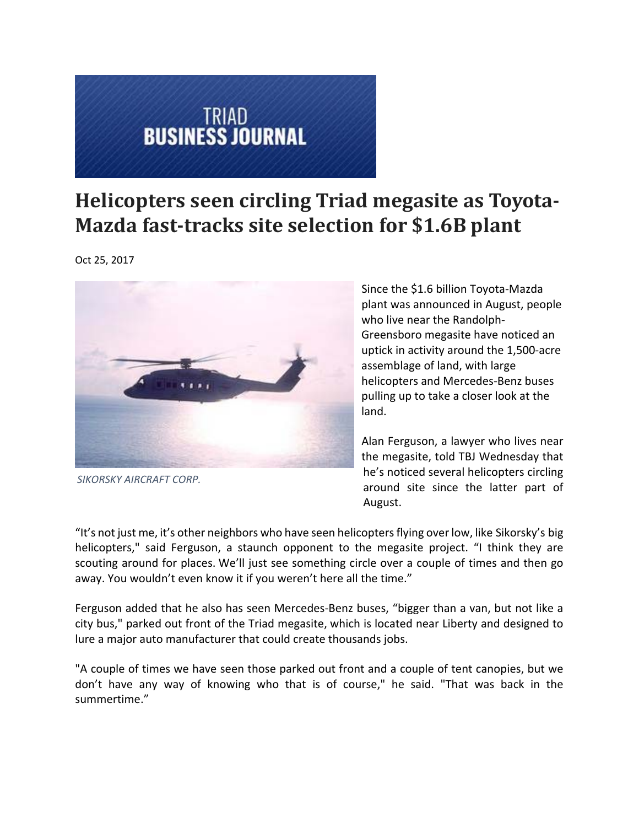## **TRIAD<br>BUSINESS JOURNAL**

## **Helicopters seen circling Triad megasite as Toyota‐ Mazda fast‐tracks site selection for \$1.6B plant**

Oct 25, 2017



*SIKORSKY AIRCRAFT CORP.*

Since the \$1.6 billion Toyota‐Mazda plant was announced in August, people who live near the Randolph‐ Greensboro megasite have noticed an uptick in activity around the 1,500‐acre assemblage of land, with large helicopters and Mercedes‐Benz buses pulling up to take a closer look at the land.

Alan Ferguson, a lawyer who lives near the megasite, told TBJ Wednesday that he's noticed several helicopters circling around site since the latter part of August.

"It's not just me, it's other neighbors who have seen helicoptersflying over low, like Sikorsky's big helicopters," said Ferguson, a staunch opponent to the megasite project. "I think they are scouting around for places. We'll just see something circle over a couple of times and then go away. You wouldn't even know it if you weren't here all the time."

Ferguson added that he also has seen Mercedes‐Benz buses, "bigger than a van, but not like a city bus," parked out front of the Triad megasite, which is located near Liberty and designed to lure a major auto manufacturer that could create thousands jobs.

"A couple of times we have seen those parked out front and a couple of tent canopies, but we don't have any way of knowing who that is of course," he said. "That was back in the summertime."